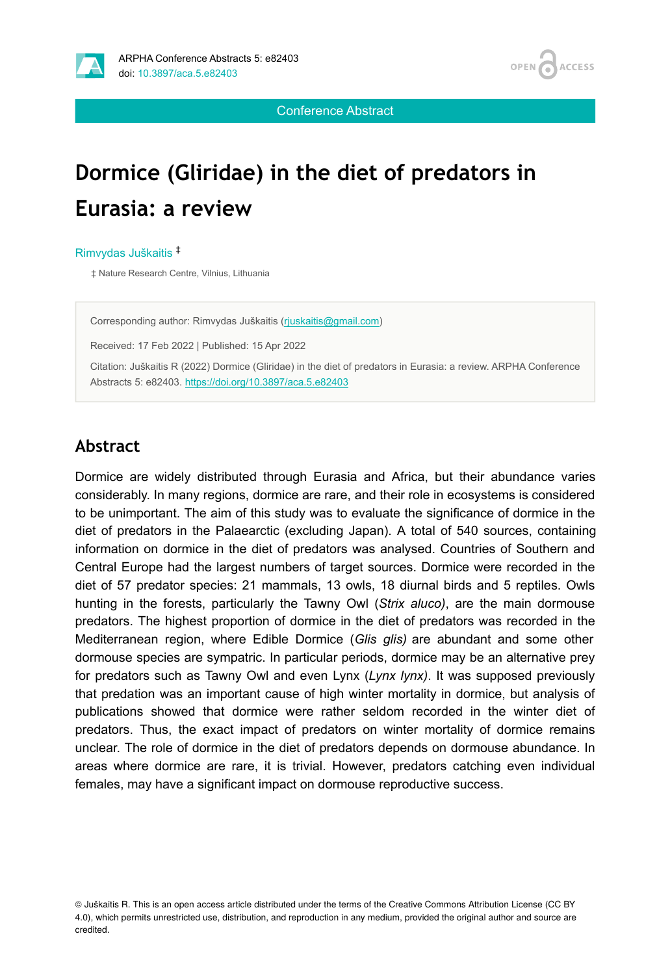

Conference Abstract

# **Dormice (Gliridae) in the diet of predators in Eurasia: a review**

Rimvydas Juškaitis ‡

‡ Nature Research Centre, Vilnius, Lithuania

Corresponding author: Rimvydas Juškaitis [\(rjuskaitis@gmail.com\)](mailto:rjuskaitis@gmail.com)

Received: 17 Feb 2022 | Published: 15 Apr 2022

Citation: Juškaitis R (2022) Dormice (Gliridae) in the diet of predators in Eurasia: a review. ARPHA Conference Abstracts 5: e82403.<https://doi.org/10.3897/aca.5.e82403>

#### **Abstract**

Dormice are widely distributed through Eurasia and Africa, but their abundance varies considerably. In many regions, dormice are rare, and their role in ecosystems is considered to be unimportant. The aim of this study was to evaluate the significance of dormice in the diet of predators in the Palaearctic (excluding Japan). A total of 540 sources, containing information on dormice in the diet of predators was analysed. Countries of Southern and Central Europe had the largest numbers of target sources. Dormice were recorded in the diet of 57 predator species: 21 mammals, 13 owls, 18 diurnal birds and 5 reptiles. Owls hunting in the forests, particularly the Tawny Owl (*Strix aluco)*, are the main dormouse predators. The highest proportion of dormice in the diet of predators was recorded in the Mediterranean region, where Edible Dormice (*Glis glis)* are abundant and some other dormouse species are sympatric. In particular periods, dormice may be an alternative prey for predators such as Tawny Owl and even Lynx (*Lynx lynx)*. It was supposed previously that predation was an important cause of high winter mortality in dormice, but analysis of publications showed that dormice were rather seldom recorded in the winter diet of predators. Thus, the exact impact of predators on winter mortality of dormice remains unclear. The role of dormice in the diet of predators depends on dormouse abundance. In areas where dormice are rare, it is trivial. However, predators catching even individual females, may have a significant impact on dormouse reproductive success.

© Juškaitis R. This is an open access article distributed under the terms of the Creative Commons Attribution License (CC BY 4.0), which permits unrestricted use, distribution, and reproduction in any medium, provided the original author and source are credited.